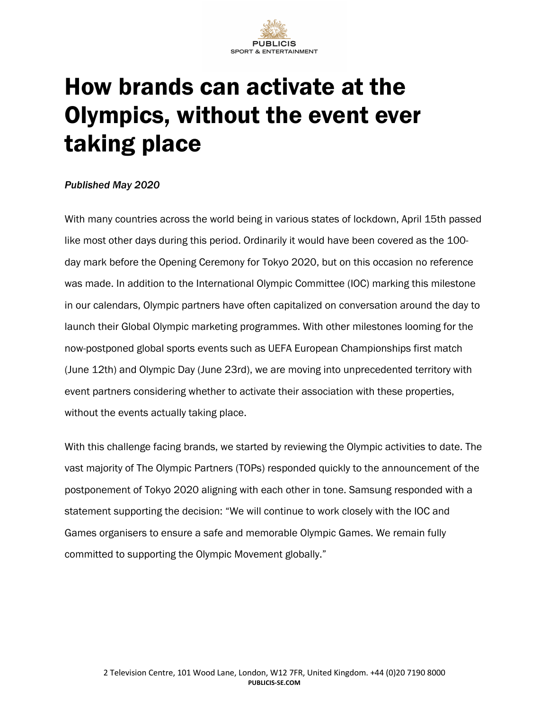

## How brands can activate at the Olympics, without the event ever taking place

## *Published May 2020*

With many countries across the world being in various states of lockdown, April 15th passed like most other days during this period. Ordinarily it would have been covered as the 100 day mark before the Opening Ceremony for Tokyo 2020, but on this occasion no reference was made. In addition to the International Olympic Committee (IOC) marking this milestone in our calendars, Olympic partners have often capitalized on conversation around the day to launch their Global Olympic marketing programmes. With other milestones looming for the now-postponed global sports events such as UEFA European Championships first match (June 12th) and Olympic Day (June 23rd), we are moving into unprecedented territory with event partners considering whether to activate their association with these properties, without the events actually taking place.

With this challenge facing brands, we started by reviewing the Olympic activities to date. The vast majority of The Olympic Partners (TOPs) responded quickly to the announcement of the postponement of Tokyo 2020 aligning with each other in tone. Samsung responded with a statement supporting the decision: "We will continue to work closely with the IOC and Games organisers to ensure a safe and memorable Olympic Games. We remain fully committed to supporting the Olympic Movement globally."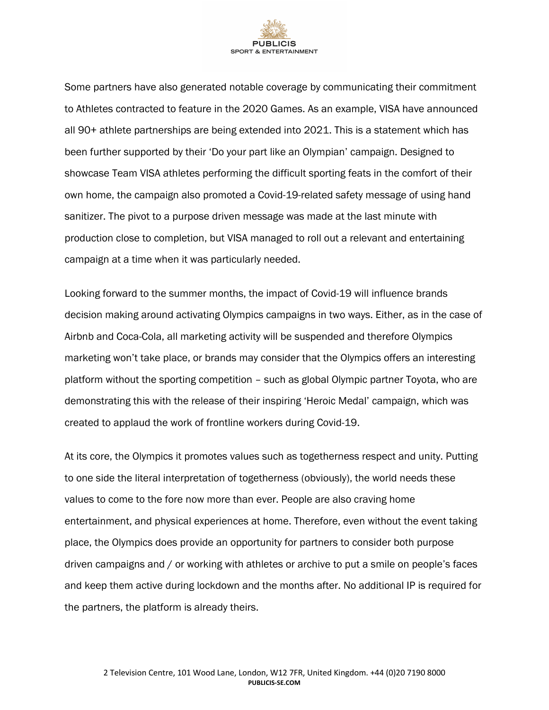

Some partners have also generated notable coverage by communicating their commitment to Athletes contracted to feature in the 2020 Games. As an example, VISA have announced all 90+ athlete partnerships are being extended into 2021. This is a statement which has been further supported by their 'Do your part like an Olympian' campaign. Designed to showcase Team VISA athletes performing the difficult sporting feats in the comfort of their own home, the campaign also promoted a Covid-19-related safety message of using hand sanitizer. The pivot to a purpose driven message was made at the last minute with production close to completion, but VISA managed to roll out a relevant and entertaining campaign at a time when it was particularly needed.

Looking forward to the summer months, the impact of Covid-19 will influence brands decision making around activating Olympics campaigns in two ways. Either, as in the case of Airbnb and Coca-Cola, all marketing activity will be suspended and therefore Olympics marketing won't take place, or brands may consider that the Olympics offers an interesting platform without the sporting competition – such as global Olympic partner Toyota, who are demonstrating this with the release of their inspiring 'Heroic Medal' campaign, which was created to applaud the work of frontline workers during Covid-19.

At its core, the Olympics it promotes values such as togetherness respect and unity. Putting to one side the literal interpretation of togetherness (obviously), the world needs these values to come to the fore now more than ever. People are also craving home entertainment, and physical experiences at home. Therefore, even without the event taking place, the Olympics does provide an opportunity for partners to consider both purpose driven campaigns and / or working with athletes or archive to put a smile on people's faces and keep them active during lockdown and the months after. No additional IP is required for the partners, the platform is already theirs.